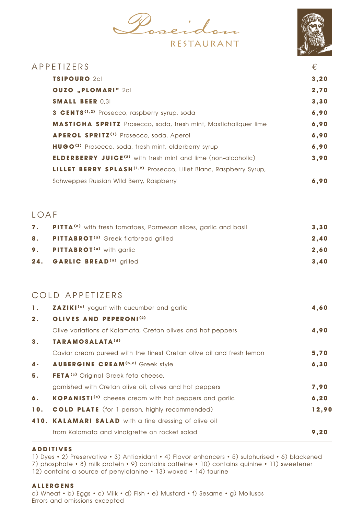$\rho_{\rm 0}$ RESTAURANT



| APPETIZERS                                                                          | €     |
|-------------------------------------------------------------------------------------|-------|
| <b>TSIPOURO</b> 2cl                                                                 | 3, 20 |
| <b>OUZO "PLOMARI" 2cl</b>                                                           | 2,70  |
| <b>SMALL BEER 0,31</b>                                                              | 3,30  |
| <b>3 CENTS<sup>(1,2)</sup></b> Prosecco, raspberry syrup, soda                      | 6,90  |
| <b>MASTICHA SPRITZ</b> Prosecco, soda, fresh mint, Mastichaliquer lime              | 6,90  |
| APEROL SPRITZ <sup>(1)</sup> Prosecco, soda, Aperol                                 | 6,90  |
| <b>HUGO<sup>(2)</sup></b> Prosecco, soda, fresh mint, elderberry syrup              | 6,90  |
| <b>ELDERBERRY JUICE<sup>(2)</sup></b> with fresh mint and lime (non-alcoholic)      | 3,90  |
| <b>LILLET BERRY SPLASH<sup>(1,2)</sup></b> Prosecco, Lillet Blanc, Raspberry Syrup, |       |
| Schweppes Russian Wild Berry, Raspberry                                             | 6.90  |
|                                                                                     |       |

## LOAF

| 7. | <b>PITTA<sup>(a)</sup></b> with fresh tomatoes, Parmesan slices, garlic and basil | 3,30 |
|----|-----------------------------------------------------------------------------------|------|
| 8. | <b>PITTABROT<sup>(a)</sup></b> Greek flatbread grilled                            | 2.40 |
|    | 9. PITTABROT <sup>(a)</sup> with garlic                                           | 2,60 |
|    | 24. GARLIC BREAD <sup>(a)</sup> grilled                                           | 3,40 |

## COLD APPETIZERS

| 1.             | <b>ZAZIKI<sup>(c)</sup></b> yogurt with cucumber and garlic          | 4,60  |
|----------------|----------------------------------------------------------------------|-------|
| 2.             | OLIVES AND PEPERONI <sup>(2)</sup>                                   |       |
|                | Olive variations of Kalamata, Cretan olives and hot peppers          | 4,90  |
| 3 <sub>1</sub> | TARAMOSALATA <sup>(d)</sup>                                          |       |
|                | Caviar cream pureed with the finest Cretan olive oil and fresh lemon | 5,70  |
| $4 -$          | <b>AUBERGINE CREAM(b,c)</b> Greek style                              | 6, 30 |
| 5.             | <b>FETA<sup>(c)</sup></b> Original Greek feta cheese,                |       |
|                | garnished with Cretan olive oil, olives and hot peppers              | 7,90  |
| 6.             | KOPANISTI <sup>(c)</sup> cheese cream with hot peppers and garlic    | 6, 20 |
| 10.            | <b>COLD PLATE</b> (for 1 person, highly recommended)                 | 12,90 |
|                | 410. KALAMARI SALAD with a fine dressing of olive oil                |       |
|                | from Kalamata and vinaigrette on rocket salad                        | 9,20  |

#### **ADDITIVES**

1) Dyes • 2) Preservative • 3) Antioxidant • 4) Flavor enhancers • 5) sulphurised • 6) blackened 7) phosphate • 8) milk protein • 9) contains caffeine • 10) contains quinine • 11) sweetener 12) contains a source of penylalanine • 13) waxed • 14) taurine

#### **ALLERGENS**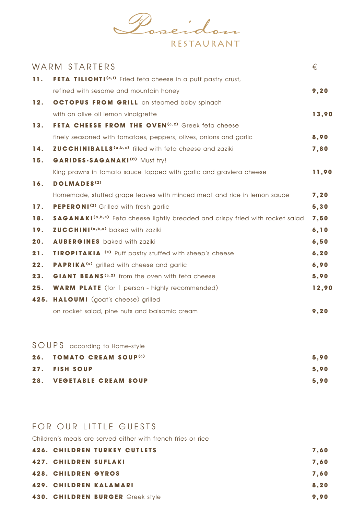

|     | WARM STARTERS                                                                                     | €     |
|-----|---------------------------------------------------------------------------------------------------|-------|
| 11. | FETA TILICHTI <sup>(c,f)</sup> Fried feta cheese in a puff pastry crust,                          |       |
|     | refined with sesame and mountain honey                                                            | 9,20  |
| 12. | <b>OCTOPUS FROM GRILL</b> on steamed baby spinach                                                 |       |
|     | with an olive oil lemon vinaigrette                                                               | 13,90 |
| 13. | FETA CHEESE FROM THE OVEN <sup>(c,2)</sup> Greek feta cheese                                      |       |
|     | finely seasoned with tomatoes, peppers, olives, onions and garlic                                 | 8,90  |
| 14. | <b>ZUCCHINIBALLS</b> <sup>(a,b,c)</sup> filled with feta cheese and zaziki                        | 7,80  |
| 15. | GARIDES-SAGANAKI <sup>(c)</sup> Must try!                                                         |       |
|     | King prawns in tomato sauce topped with garlic and graviera cheese                                | 11,90 |
| 16. | <b>DOLMADES<sup>(2)</sup></b>                                                                     |       |
|     | Homemade, stuffed grape leaves with minced meat and rice in lemon sauce                           | 7, 20 |
| 17. | <b>PEPERONI<sup>(2)</sup></b> Grilled with fresh garlic                                           | 5,30  |
| 18. | <b>SAGANAKI</b> <sup>(a,b,c)</sup> Feta cheese lightly breaded and crispy fried with rocket salad | 7,50  |
| 19. | <b>ZUCCHINI(a,b,c)</b> baked with zaziki                                                          | 6, 10 |
| 20. | <b>AUBERGINES</b> baked with zaziki                                                               | 6,50  |
| 21. | <b>TIROPITAKIA<sup>(c)</sup></b> Puff pastry stuffed with sheep's cheese                          | 6, 20 |
| 22. | <b>PAPRIKA<sup>(c)</sup></b> grilled with cheese and garlic                                       | 6,90  |
| 23. | GIANT BEANS <sup>(c,2)</sup> from the oven with feta cheese                                       | 5,90  |
| 25. | <b>WARM PLATE</b> (for 1 person - highly recommended)                                             | 12,90 |
|     | 425. HALOUMI (goat's cheese) grilled                                                              |       |
|     | on rocket salad, pine nuts and balsamic cream                                                     | 9, 20 |
|     |                                                                                                   |       |

## SOUPS according to Home-style

| 26. TOMATO CREAM SOUP <sup>(c)</sup> | 5.90 |
|--------------------------------------|------|
| 27. FISH SOUP                        | 5.90 |
| 28. VEGETABLE CREAM SOUP             | 5.90 |

## FOR OUR LITTLE GUESTS

Children's meals are served either with french fries or rice

|                              | <b>426. CHILDREN TURKEY CUTLETS</b> | 7.60 |
|------------------------------|-------------------------------------|------|
| <b>427. CHILDREN SUFLAKI</b> |                                     | 7.60 |
| <b>428. CHILDREN GYROS</b>   |                                     | 7.60 |
|                              | 429. CHILDREN KALAMARI              | 8,20 |
|                              | 430. CHILDREN BURGER Greek style    | 9,90 |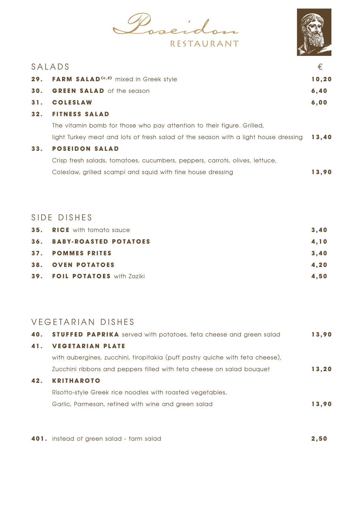Poseidon RESTAURANT



|     | SALADS                                                                              | €     |
|-----|-------------------------------------------------------------------------------------|-------|
|     | 29. FARM SALAD <sup>(c,2)</sup> mixed in Greek style                                | 10,20 |
| 30. | <b>GREEN SALAD</b> of the season                                                    | 6,40  |
| 31. | <b>COLESLAW</b>                                                                     | 6,00  |
| 32. | <b>FITNESS SALAD</b>                                                                |       |
|     | The vitamin bomb for those who pay attention to their figure. Grilled,              |       |
|     | light Turkey meat and lots of fresh salad of the season with a light house dressing | 13,40 |
| 33. | <b>POSEIDON SALAD</b>                                                               |       |
|     | Crisp fresh salads, tomatoes, cucumbers, peppers, carrots, olives, lettuce,         |       |
|     | Coleslaw, grilled scampi and squid with fine house dressing                         | 13.90 |
|     |                                                                                     |       |

## SIDE DISHES

| <b>35. RICE</b> with tomato sauce | 3.40 |
|-----------------------------------|------|
| <b>36. BABY-ROASTED POTATOES</b>  | 4.10 |
| 37. POMMES FRITES                 | 3.40 |
| <b>38. OVEN POTATOES</b>          | 4.20 |
| 39. FOIL POTATOES with Zaziki     | 4.50 |

## VEGETARIAN DISHES

| 40. | <b>STUFFED PAPRIKA</b> served with potatoes, feta cheese and green salad      | 13,90 |
|-----|-------------------------------------------------------------------------------|-------|
| 41. | <b>VEGETARIAN PLATE</b>                                                       |       |
|     | with aubergines, zucchini, tiropitakia (puff pastry quiche with feta cheese), |       |
|     | Zucchini ribbons and peppers filled with feta cheese on salad bouquet         | 13,20 |
| 42. | <b>KRITHAROTO</b>                                                             |       |
|     | Risotto-style Greek rice noodles with roasted vegetables,                     |       |
|     | Garlic, Parmesan, refined with wine and green salad                           | 13.90 |
|     |                                                                               |       |

**401.** instead of green salad - farm salad **2,50**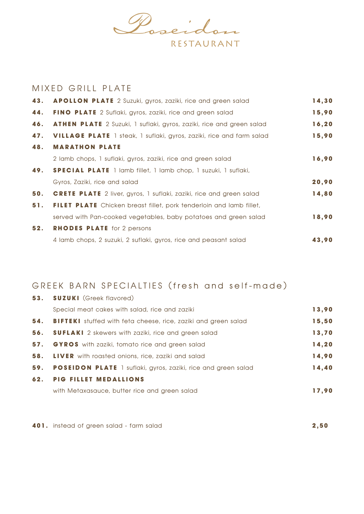

## MIXED GRILL PLATE

| <b>APOLLON PLATE</b> 2 Suzuki, gyros, zaziki, rice and green salad          | 14,30  |
|-----------------------------------------------------------------------------|--------|
| <b>FINO PLATE</b> 2 Suflaki, gyros, zaziki, rice and green salad            | 15,90  |
| <b>ATHEN PLATE</b> 2 Suzuki, 1 suflaki, gyros, zaziki, rice and green salad | 16, 20 |
| <b>VILLAGE PLATE</b> 1 steak, 1 suflaki, gyros, zaziki, rice and farm salad | 15,90  |
| <b>MARATHON PLATE</b>                                                       |        |
| 2 lamb chops, 1 suflaki, gyros, zaziki, rice and green salad                | 16,90  |
| <b>SPECIAL PLATE</b> 1 lamb fillet, 1 lamb chop, 1 suzuki, 1 suflaki,       |        |
| Gyros, Zaziki, rice and salad                                               | 20,90  |
| <b>CRETE PLATE</b> 2 liver, gyros, 1 suflaki, zaziki, rice and green salad  | 14,80  |
| <b>FILET PLATE</b> Chicken breast fillet, pork tenderloin and lamb fillet,  |        |
| served with Pan-cooked vegetables, baby potatoes and green salad            | 18,90  |
| <b>RHODES PLATE</b> for 2 persons                                           |        |
| 4 lamb chops, 2 suzuki, 2 suflaki, gyros, rice and peasant salad            | 43,90  |
|                                                                             |        |

# GREEK BARN SPECIALTIES (fresh and self-made)

| 53. SUZUKI (Greek flavored)                                               |       |
|---------------------------------------------------------------------------|-------|
| Special meat cakes with salad, rice and zaziki                            | 13,90 |
| <b>54.</b> BIFTEKI stuffed with feta cheese, rice, zaziki and green salad | 15,50 |
| <b>56.</b> SUFLAKI 2 skewers with zaziki, rice and green salad            | 13,70 |
| 57. GYROS with zaziki, tomato rice and green salad                        | 14,20 |
| <b>58.</b> LIVER with roasted onions, rice, zaziki and salad              | 14,90 |
| <b>59. POSEIDON PLATE</b> 1 suflaki, gyros, zaziki, rice and green salad  | 14,40 |
| <b>62. PIG FILLET MEDALLIONS</b>                                          |       |
| with Metaxasauce, butter rice and green salad                             | 17.90 |

**401.** instead of green salad - farm salad **2,50**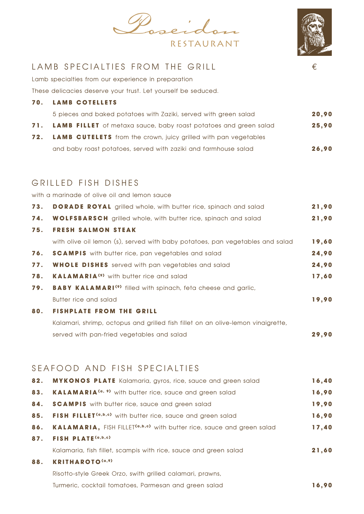



## LAMB SPECIALTIES FROM THE GRILL  $\epsilon$

Lamb specialties from our experience in preparation

These delicacies deserve your trust. Let yourself be seduced.

|     | <b>70. LAMB COTELLETS</b>                                              |       |  |
|-----|------------------------------------------------------------------------|-------|--|
|     | 5 pieces and baked potatoes with Zaziki, served with green salad       | 20,90 |  |
|     | 71. LAMB FILLET of metaxa sauce, baby roast potatoes and green salad   | 25,90 |  |
| 72. | <b>LAMB CUTELETS</b> from the crown, juicy grilled with pan vegetables |       |  |
|     | and baby roast potatoes, served with zaziki and farmhouse salad        | 26,90 |  |

## GRILLED FISH DISHES

with a marinade of olive oil and lemon sauce

| 73. | <b>DORADE ROYAL</b> grilled whole, with butter rice, spinach and salad           | 21,90 |
|-----|----------------------------------------------------------------------------------|-------|
| 74. | <b>WOLFSBARSCH</b> grilled whole, with butter rice, spinach and salad            | 21,90 |
| 75. | <b>FRESH SALMON STEAK</b>                                                        |       |
|     | with olive oil lemon (s), served with baby potatoes, pan vegetables and salad    | 19,60 |
| 76. | <b>SCAMPIS</b> with butter rice, pan vegetables and salad                        | 24,90 |
| 77. | <b>WHOLE DISHES</b> served with pan vegetables and salad                         | 24,90 |
| 78. | <b>KALAMARIA<sup>(9)</sup></b> with butter rice and salad                        | 17,60 |
| 79. | <b>BABY KALAMARI<sup>(9)</sup></b> filled with spinach, feta cheese and garlic,  |       |
|     | Butter rice and salad                                                            | 19,90 |
| 80. | <b>FISHPLATE FROM THE GRILL</b>                                                  |       |
|     | Kalamari, shrimp, octopus and grilled fish fillet on an olive-lemon vinaigrette, |       |
|     | served with pan-fried vegetables and salad                                       | 29.90 |

## SEAFOOD AND FISH SPECIALTIES

| 82. | <b>MYKONOS PLATE</b> Kalamaria, gyros, rice, sauce and green salad                      | 16,40 |
|-----|-----------------------------------------------------------------------------------------|-------|
| 83. | KALAMARIA <sup>(a, 9)</sup> with butter rice, sauce and green salad                     | 16,90 |
| 84. | <b>SCAMPIS</b> with butter rice, sauce and green salad                                  | 19,90 |
| 85. | FISH FILLET <sup>(a,b,c)</sup> with butter rice, sauce and green salad                  | 16,90 |
| 86. | <b>KALAMARIA, FISH FILLET<sup>(a,b,c)</sup></b> with butter rice, sauce and green salad | 17,40 |
| 87. | FISH PLATE <sup>(a,b,c)</sup>                                                           |       |
|     | Kalamaria, fish fillet, scampis with rice, sauce and green salad                        | 21,60 |
| 88. | <b>KRITHAROTO(a,9)</b>                                                                  |       |
|     | Risotto-style Greek Orzo, swith grilled calamari, prawns,                               |       |
|     | Turmeric, cocktail tomatoes, Parmesan and green salad                                   | 16.90 |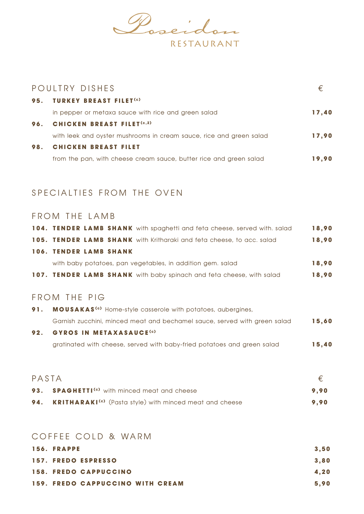

|     | POULTRY DISHES                                                      | €     |
|-----|---------------------------------------------------------------------|-------|
|     | 95. TURKEY BREAST FILET <sup>(c)</sup>                              |       |
|     | in pepper or metaxa sauce with rice and green salad                 | 17,40 |
|     | 96. CHICKEN BREAST FILET <sup>(c,2)</sup>                           |       |
|     | with leek and oyster mushrooms in cream sauce, rice and green salad | 17,90 |
| 98. | <b>CHICKEN BREAST FILET</b>                                         |       |
|     | from the pan, with cheese cream sauce, butter rice and green salad  | 19.90 |

## SPECIALTIES FROM THE OVEN

#### FROM THE LAMB

|  |                               | 104. TENDER LAMB SHANK with spaghetti and feta cheese, served with. salad | 18.90 |
|--|-------------------------------|---------------------------------------------------------------------------|-------|
|  |                               | 105. TENDER LAMB SHANK with Kritharaki and feta cheese, to acc. salad     | 18,90 |
|  | <b>106. TENDER LAMB SHANK</b> |                                                                           |       |
|  |                               | with baby potatoes, pan vegetables, in addition gem. salad                | 18,90 |
|  |                               | 107. TENDER LAMB SHANK with baby spinach and feta cheese, with salad      | 18,90 |

## FROM THE PIG

| 91. | <b>MOUSAKAS<sup>(c)</sup></b> Home-style casserole with potatoes, aubergines, |       |
|-----|-------------------------------------------------------------------------------|-------|
|     | Garnish zucchini, minced meat and bechamel sauce, served with green salad     | 15.60 |
| 92. | <b>GYROS IN METAXASAUCE<sup>(c)</sup></b>                                     |       |
|     | gratinated with cheese, served with baby-fried potatoes and green salad       | 15.40 |

| PASTA |                                                                               |      |
|-------|-------------------------------------------------------------------------------|------|
|       | 93. SPAGHETTI <sup>(c)</sup> with minced meat and cheese                      | 9.90 |
|       | <b>94. KRITHARAKI<sup>(c)</sup></b> (Pasta style) with minced meat and cheese | 9.90 |

#### COFFEE COLD & WARM

| 156. FRAPPE                             | 3,50 |
|-----------------------------------------|------|
| 157. FREDO ESPRESSO                     | 3,80 |
| <b>158. FREDO CAPPUCCINO</b>            | 4.20 |
| <b>159. FREDO CAPPUCCINO WITH CREAM</b> | 5.90 |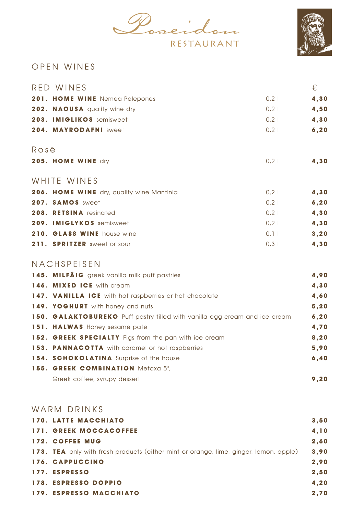Poseidon RESTAURANT



## O P E N W I N E S

| RED WINES                                 |       | €     |
|-------------------------------------------|-------|-------|
| 201. HOME WINE Nemea Pelepones            | $0,2$ | 4,30  |
| 202. NAOUSA quality wine dry              | $0,2$ | 4,50  |
| 203. IMIGLIKOS semisweet                  | $0,2$ | 4,30  |
| 204. MAYRODAFNI sweet                     | $0,2$ | 6, 20 |
| Rosé                                      |       |       |
| 205. HOME WINE dry                        | $0,2$ | 4,30  |
| WHITE WINES                               |       |       |
| 206. HOME WINE dry, quality wine Mantinia | $0,2$ | 4,30  |
| 207. SAMOS sweet                          | $0,2$ | 6, 20 |
| 208. RETSINA resinated                    | $0,2$ | 4,30  |
| 209. IMIGLYKOS semisweet                  | $0,2$ | 4,30  |
| 210. GLASS WINE house wine                | $0,1$ | 3, 20 |
| 211. SPRITZER sweet or sour               | $0,3$ | 4,30  |

## NACHSPEISEN

| 145. MILFÄIG greek vanilla milk puff pastries                              | 4,90  |
|----------------------------------------------------------------------------|-------|
| 146. MIXED ICE with cream                                                  | 4,30  |
| 147. VANILLA ICE with hot raspberries or hot chocolate                     | 4,60  |
| 149. YOGHURT with honey and nuts                                           | 5, 20 |
| 150. GALAKTOBUREKO Puff pastry filled with vanilla egg cream and ice cream | 6, 20 |
| 151. HALWAS Honey sesame pate                                              | 4,70  |
| 152. GREEK SPECIALTY Figs from the pan with ice cream                      | 8,20  |
| 153. PANNACOTTA with caramel or hot raspberries                            | 5,90  |
| 154. SCHOKOLATINA Surprise of the house                                    | 6,40  |
| 155. GREEK COMBINATION Metaxa 5*,                                          |       |
| Greek coffee, syrupy dessert                                               | 9.20  |

#### WARM DRINKS

| <b>170. LATTE MACCHIATO</b>                                                           | 3,50 |
|---------------------------------------------------------------------------------------|------|
| <b>171. GREEK MOCCACOFFEE</b>                                                         | 4,10 |
| <b>172. COFFEE MUG</b>                                                                | 2,60 |
| 173. TEA only with fresh products (either mint or orange, lime, ginger, lemon, apple) | 3,90 |
| 176. CAPPUCCINO                                                                       | 2,90 |
| 177. ESPRESSO                                                                         | 2,50 |
| 178. ESPRESSO DOPPIO                                                                  | 4,20 |
| <b>179. ESPRESSO MACCHIATO</b>                                                        | 2,70 |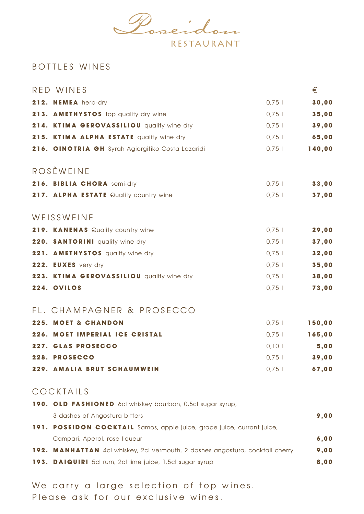

## BOTTLES WINES

| RED WINES                                         |        | €      |
|---------------------------------------------------|--------|--------|
| 212. NEMEA herb-dry                               | $0,75$ | 30,00  |
| 213. AMETHYSTOS top quality dry wine              | $0,75$ | 35,00  |
| 214. KTIMA GEROVASSILIOU quality wine dry         | $0,75$ | 39,00  |
| 215. KTIMA ALPHA ESTATE quality wine dry          | $0,75$ | 65,00  |
| 216. OINOTRIA GH Syrah Agiorgitiko Costa Lazaridi | $0,75$ | 140,00 |
| <b>ROSÈWEINE</b>                                  |        |        |
| 216. BIBLIA CHORA semi-dry                        | $0,75$ | 33,00  |
| 217. ALPHA ESTATE Quality country wine            | $0,75$ | 37,00  |
| WEISSWEINE                                        |        |        |
| 219. KANENAS Quality country wine                 | $0,75$ | 29,00  |
| 220. SANTORINI quality wine dry                   | $0,75$ | 37,00  |
| 221. AMETHYSTOS quality wine dry                  | $0,75$ | 32,00  |
| 222. EUXES very dry                               | $0,75$ | 35,00  |
| 223. KTIMA GEROVASSILIOU quality wine dry         | $0,75$ | 38,00  |
| 224. OVILOS                                       | $0,75$ | 73,00  |
| FL. CHAMPAGNER & PROSECCO                         |        |        |
| <b>225. MOET &amp; CHANDON</b>                    | 0,75   | 150,00 |
| 226. MOET IMPERIAL ICE CRISTAL                    | $0,75$ | 165,00 |
| 227. GLAS PROSECCO                                | 0,101  | 5,00   |
| 228. PROSECCO                                     | $0,75$ | 39,00  |
| 229. AMALIA BRUT SCHAUMWEIN                       | $0,75$ | 67,00  |
|                                                   |        |        |

#### COCKTAILS

| 190. OLD FASHIONED 6cl whiskey bourbon, 0.5cl sugar syrup,                    |      |
|-------------------------------------------------------------------------------|------|
| 3 dashes of Angostura bitters                                                 | 9,00 |
| 191. POSEIDON COCKTAIL Samos, apple juice, grape juice, currant juice,        |      |
| Campari, Aperol, rose liqueur                                                 | 6,00 |
| 192. MANHATTAN 4cl whiskey, 2cl vermouth, 2 dashes angostura, cocktail cherry | 9,00 |
| <b>193. DAIQUIRI</b> 5cl rum, 2cl lime juice, 1.5cl sugar syrup               | 8,00 |
|                                                                               |      |

We carry a large selection of top wines. Please ask for our exclusive wines.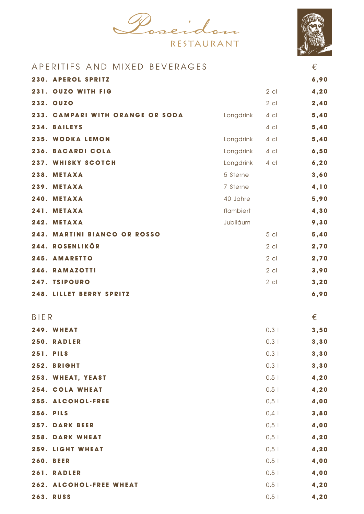Poseidon



|             | APERITIFS AND MIXED BEVERAGES      |           |        | €     |
|-------------|------------------------------------|-----------|--------|-------|
|             | 230. APEROL SPRITZ                 |           |        | 6,90  |
| 231.        | <b>OUZO WITH FIG</b>               |           | $2$ cl | 4,20  |
|             | <b>232. OUZO</b>                   |           | $2$ cl | 2,40  |
| 233.        | <b>CAMPARI WITH ORANGE OR SODA</b> | Longdrink | $4$ cl | 5,40  |
|             | 234. BAILEYS                       |           | $4$ cl | 5,40  |
|             | 235. WODKA LEMON                   | Longdrink | $4$ c  | 5,40  |
| 236.        | <b>BACARDI COLA</b>                | Longdrink | $4$ c  | 6,50  |
|             | 237. WHISKY SCOTCH                 | Longdrink | $4$ cl | 6, 20 |
|             | 238. METAXA                        | 5 Sterne  |        | 3,60  |
| 239.        | <b>METAXA</b>                      | 7 Sterne  |        | 4,10  |
| 240.        | <b>METAXA</b>                      | 40 Jahre  |        | 5,90  |
| 241.        | <b>METAXA</b>                      | flambiert |        | 4,30  |
| 242.        | <b>METAXA</b>                      | Jubiläum  |        | 9,30  |
| 243.        | <b>MARTINI BIANCO OR ROSSO</b>     |           | $5$ cl | 5,40  |
| 244.        | <b>ROSENLIKÖR</b>                  |           | $2$ cl | 2,70  |
| 245.        | <b>AMARETTO</b>                    |           | $2$ cl | 2,70  |
|             | 246. RAMAZOTTI                     |           | $2$ cl | 3,90  |
|             | 247. TSIPOURO                      |           | $2$ cl | 3, 20 |
|             | <b>248. LILLET BERRY SPRITZ</b>    |           |        | 6,90  |
|             |                                    |           |        |       |
| <b>BIER</b> |                                    |           |        | €     |
|             | 249. WHEAT                         |           | $0,3$  | 3,50  |
|             | <b>250. RADLER</b>                 |           | $0,3$  | 3, 30 |
|             | <b>251. PILS</b>                   |           | $0,3$  | 3, 30 |
|             | 252. BRIGHT                        |           | $0,3$  | 3,30  |
|             | 253. WHEAT, YEAST                  |           | $0,5$  | 4,20  |
|             | 254. COLA WHEAT                    |           | $0,5$  | 4,20  |
|             | 255. ALCOHOL-FREE                  |           | $0,5$  | 4,00  |
|             | <b>256. PILS</b>                   |           | 0,4    | 3,80  |
|             | <b>257. DARK BEER</b>              |           | $0,5$  | 4,00  |
|             | <b>258. DARK WHEAT</b>             |           | $0,5$  | 4,20  |
|             | 259. LIGHT WHEAT                   |           | $0,5$  | 4,20  |
|             | <b>260. BEER</b>                   |           | $0,5$  | 4,00  |
|             | 261. RADLER                        |           | $0,5$  | 4,00  |
|             | 262. ALCOHOL-FREE WHEAT            |           | $0,5$  | 4,20  |
|             | <b>263. RUSS</b>                   |           | $0,5$  | 4,20  |